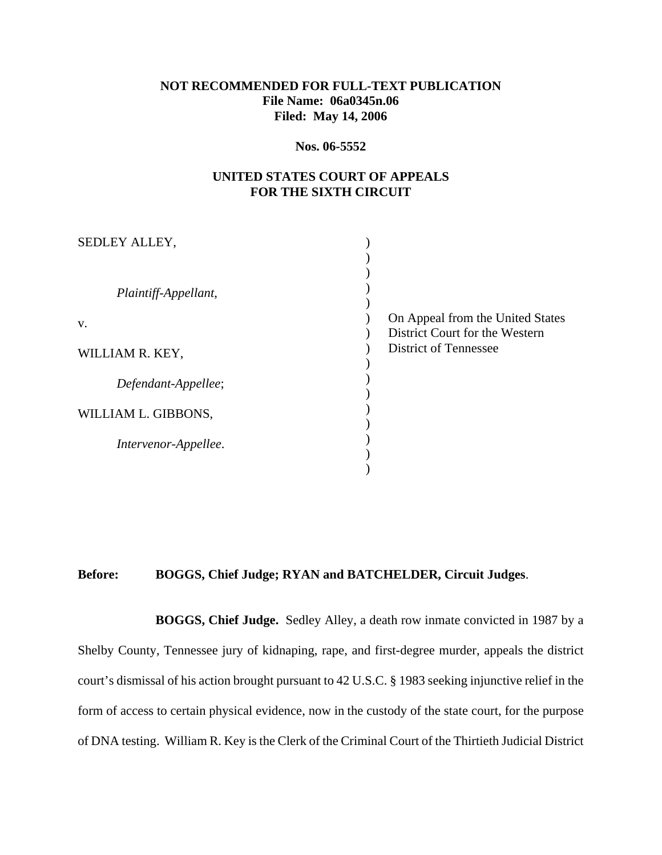# **NOT RECOMMENDED FOR FULL-TEXT PUBLICATION File Name: 06a0345n.06 Filed: May 14, 2006**

#### **Nos. 06-5552**

## **UNITED STATES COURT OF APPEALS FOR THE SIXTH CIRCUIT**

| On Appeal from the United States<br>District Court for the Western |
|--------------------------------------------------------------------|
| <b>District of Tennessee</b>                                       |
|                                                                    |
|                                                                    |
|                                                                    |
|                                                                    |

### **Before: BOGGS, Chief Judge; RYAN and BATCHELDER, Circuit Judges**.

**BOGGS, Chief Judge.** Sedley Alley, a death row inmate convicted in 1987 by a Shelby County, Tennessee jury of kidnaping, rape, and first-degree murder, appeals the district court's dismissal of his action brought pursuant to 42 U.S.C. § 1983 seeking injunctive relief in the form of access to certain physical evidence, now in the custody of the state court, for the purpose of DNA testing. William R. Key is the Clerk of the Criminal Court of the Thirtieth Judicial District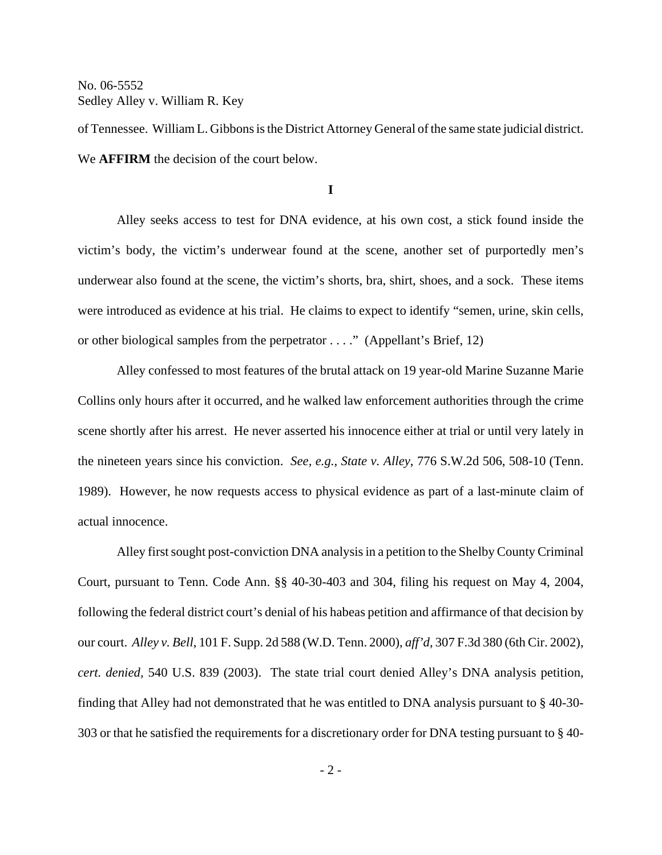of Tennessee. William L. Gibbons is the District Attorney General of the same state judicial district. We **AFFIRM** the decision of the court below.

**I**

Alley seeks access to test for DNA evidence, at his own cost, a stick found inside the victim's body, the victim's underwear found at the scene, another set of purportedly men's underwear also found at the scene, the victim's shorts, bra, shirt, shoes, and a sock. These items were introduced as evidence at his trial. He claims to expect to identify "semen, urine, skin cells, or other biological samples from the perpetrator . . . ." (Appellant's Brief, 12)

Alley confessed to most features of the brutal attack on 19 year-old Marine Suzanne Marie Collins only hours after it occurred, and he walked law enforcement authorities through the crime scene shortly after his arrest. He never asserted his innocence either at trial or until very lately in the nineteen years since his conviction. *See, e.g.*, *State v. Alley*, 776 S.W.2d 506, 508-10 (Tenn. 1989). However, he now requests access to physical evidence as part of a last-minute claim of actual innocence.

Alley first sought post-conviction DNA analysis in a petition to the Shelby County Criminal Court, pursuant to Tenn. Code Ann. §§ 40-30-403 and 304, filing his request on May 4, 2004, following the federal district court's denial of his habeas petition and affirmance of that decision by our court. *Alley v. Bell*, 101 F. Supp. 2d 588 (W.D. Tenn. 2000), *aff'd,* 307 F.3d 380 (6th Cir. 2002), *cert. denied,* 540 U.S. 839 (2003). The state trial court denied Alley's DNA analysis petition, finding that Alley had not demonstrated that he was entitled to DNA analysis pursuant to § 40-30- 303 or that he satisfied the requirements for a discretionary order for DNA testing pursuant to § 40-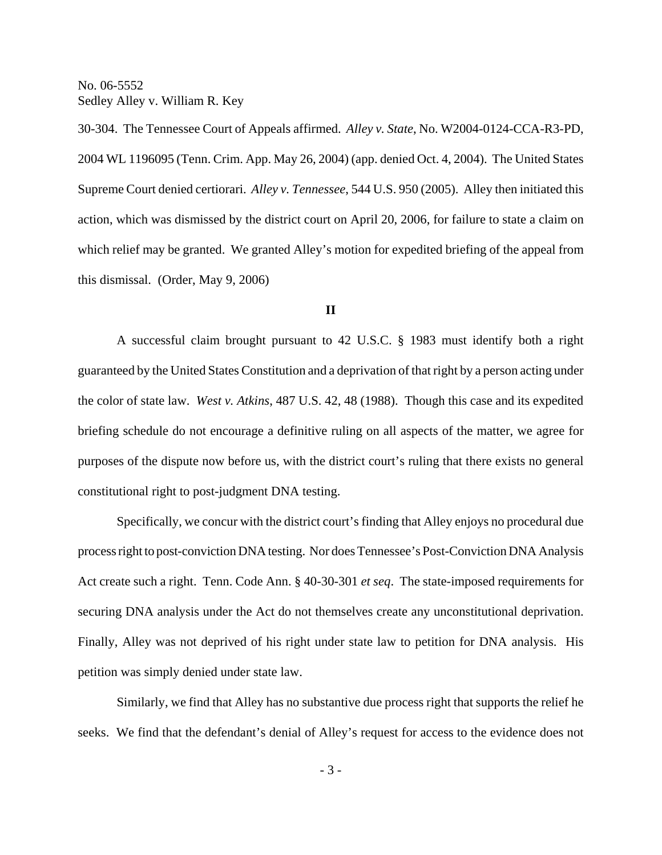30-304. The Tennessee Court of Appeals affirmed. *Alley v. State*, No. W2004-0124-CCA-R3-PD, 2004 WL 1196095 (Tenn. Crim. App. May 26, 2004) (app. denied Oct. 4, 2004). The United States Supreme Court denied certiorari. *Alley v. Tennessee*, 544 U.S. 950 (2005). Alley then initiated this action, which was dismissed by the district court on April 20, 2006, for failure to state a claim on which relief may be granted. We granted Alley's motion for expedited briefing of the appeal from this dismissal. (Order, May 9, 2006)

#### **II**

A successful claim brought pursuant to 42 U.S.C. § 1983 must identify both a right guaranteed by the United States Constitution and a deprivation of that right by a person acting under the color of state law. *West v. Atkins*, 487 U.S. 42, 48 (1988). Though this case and its expedited briefing schedule do not encourage a definitive ruling on all aspects of the matter, we agree for purposes of the dispute now before us, with the district court's ruling that there exists no general constitutional right to post-judgment DNA testing.

Specifically, we concur with the district court's finding that Alley enjoys no procedural due process right to post-conviction DNA testing. Nor does Tennessee's Post-Conviction DNA Analysis Act create such a right. Tenn. Code Ann. § 40-30-301 *et seq*. The state-imposed requirements for securing DNA analysis under the Act do not themselves create any unconstitutional deprivation. Finally, Alley was not deprived of his right under state law to petition for DNA analysis. His petition was simply denied under state law.

Similarly, we find that Alley has no substantive due process right that supports the relief he seeks. We find that the defendant's denial of Alley's request for access to the evidence does not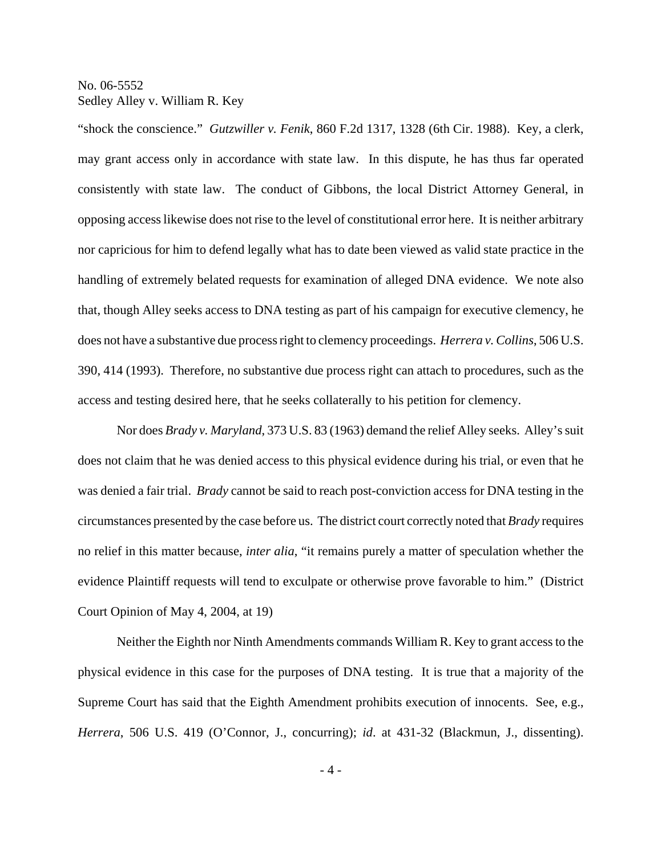"shock the conscience." *Gutzwiller v. Fenik*, 860 F.2d 1317, 1328 (6th Cir. 1988). Key, a clerk, may grant access only in accordance with state law. In this dispute, he has thus far operated consistently with state law. The conduct of Gibbons, the local District Attorney General, in opposing access likewise does not rise to the level of constitutional error here. It is neither arbitrary nor capricious for him to defend legally what has to date been viewed as valid state practice in the handling of extremely belated requests for examination of alleged DNA evidence. We note also that, though Alley seeks access to DNA testing as part of his campaign for executive clemency, he does not have a substantive due process right to clemency proceedings. *Herrera v. Collins*, 506 U.S. 390, 414 (1993). Therefore, no substantive due process right can attach to procedures, such as the access and testing desired here, that he seeks collaterally to his petition for clemency.

Nor does *Brady v. Maryland*, 373 U.S. 83 (1963) demand the relief Alley seeks. Alley's suit does not claim that he was denied access to this physical evidence during his trial, or even that he was denied a fair trial. *Brady* cannot be said to reach post-conviction access for DNA testing in the circumstances presented by the case before us. The district court correctly noted that *Brady* requires no relief in this matter because, *inter alia*, "it remains purely a matter of speculation whether the evidence Plaintiff requests will tend to exculpate or otherwise prove favorable to him." (District Court Opinion of May 4, 2004, at 19)

Neither the Eighth nor Ninth Amendments commands William R. Key to grant access to the physical evidence in this case for the purposes of DNA testing. It is true that a majority of the Supreme Court has said that the Eighth Amendment prohibits execution of innocents. See, e.g., *Herrera*, 506 U.S. 419 (O'Connor, J., concurring); *id*. at 431-32 (Blackmun, J., dissenting).